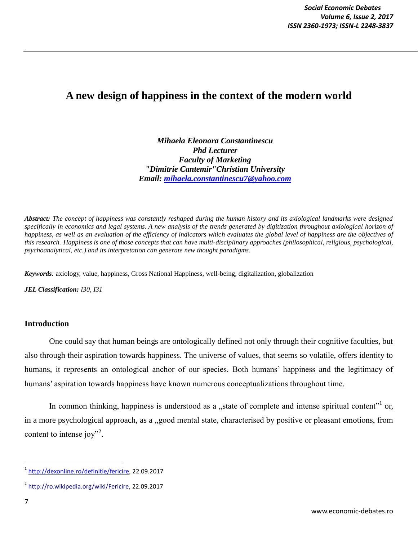# **A new design of happiness in the context of the modern world**

*Mihaela Eleonora Constantinescu Phd Lecturer Faculty of Marketing "Dimitrie Cantemir"Christian University Email: [mihaela.constantinescu7@yahoo.com](mailto:mihaelaconstantinescu68@yahoo.com)*

*Abstract: The concept of happiness was constantly reshaped during the human history and its axiological landmarks were designed specifically in economics and legal systems. A new analysis of the trends generated by digitization throughout axiological horizon of happiness, as well as an evaluation of the efficiency of indicators which evaluates the global level of happiness are the objectives of this research. Happiness is one of those concepts that can have multi-disciplinary approaches (philosophical, religious, psychological, psychoanalytical, etc.) and its interpretation can generate new thought paradigms.* 

*Keywords:* axiology, value, happiness, Gross National Happiness, well-being, digitalization, globalization

*JEL Classification: I30, I31*

## **Introduction**

One could say that human beings are ontologically defined not only through their cognitive faculties, but also through their aspiration towards happiness. The universe of values, that seems so volatile, offers identity to humans, it represents an ontological anchor of our species. Both humans' happiness and the legitimacy of humans' aspiration towards happiness have known numerous conceptualizations throughout time.

In common thinking, happiness is understood as a "state of complete and intense spiritual content" or, in a more psychological approach, as a "good mental state, characterised by positive or pleasant emotions, from content to intense joy"<sup>2</sup>.

<sup>&</sup>lt;u>.</u><br>1 <u>http://dexonline.ro/definitie/fericire</u>, 22.09.2017

<sup>2</sup> [http://ro.wikipedia.org/wiki/Fericire,](http://ro.wikipedia.org/wiki/Fericire) 22.09.2017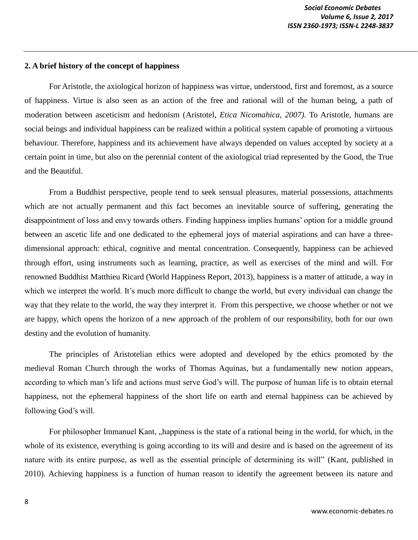#### **2. A brief history of the concept of happiness**

For Aristotle, the axiological horizon of happiness was virtue, understood, first and foremost, as a source of happiness. Virtue is also seen as an action of the free and rational will of the human being, a path of moderation between asceticism and hedonism (Aristotel, *Etica Nicomahica, 2007)*. To Aristotle, humans are social beings and individual happiness can be realized within a political system capable of promoting a virtuous behaviour. Therefore, happiness and its achievement have always depended on values accepted by society at a certain point in time, but also on the perennial content of the axiological triad represented by the Good, the True and the Beautiful*.*

From a Buddhist perspective, people tend to seek sensual pleasures, material possessions, attachments which are not actually permanent and this fact becomes an inevitable source of suffering, generating the disappointment of loss and envy towards others. Finding happiness implies humans' option for a middle ground between an ascetic life and one dedicated to the ephemeral joys of material aspirations and can have a threedimensional approach: ethical, cognitive and mental concentration. Consequently, happiness can be achieved through effort, using instruments such as learning, practice, as well as exercises of the mind and will. For renowned Buddhist Matthieu Ricard (World Happiness Report, 2013), happiness is a matter of attitude, a way in which we interpret the world. It's much more difficult to change the world, but every individual can change the way that they relate to the world, the way they interpret it. From this perspective, we choose whether or not we are happy, which opens the horizon of a new approach of the problem of our responsibility, both for our own destiny and the evolution of humanity.

The principles of Aristotelian ethics were adopted and developed by the ethics promoted by the medieval Roman Church through the works of Thomas Aquinas, but a fundamentally new notion appears, according to which man's life and actions must serve God's will. The purpose of human life is to obtain eternal happiness, not the ephemeral happiness of the short life on earth and eternal happiness can be achieved by following God's will.

For philosopher Immanuel Kant, "happiness is the state of a rational being in the world, for which, in the whole of its existence, everything is going according to its will and desire and is based on the agreement of its nature with its entire purpose, as well as the essential principle of determining its will" (Kant, published in 2010). Achieving happiness is a function of human reason to identify the agreement between its nature and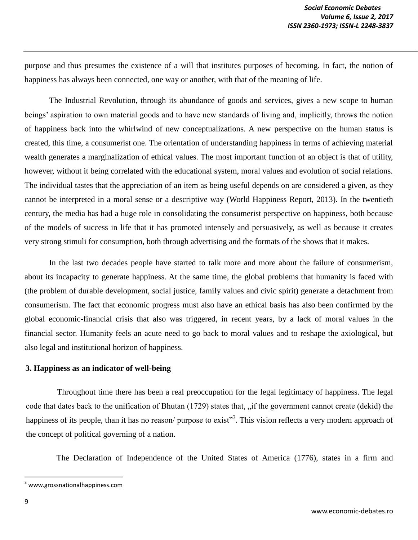purpose and thus presumes the existence of a will that institutes purposes of becoming. In fact, the notion of happiness has always been connected, one way or another, with that of the meaning of life.

The Industrial Revolution, through its abundance of goods and services, gives a new scope to human beings' aspiration to own material goods and to have new standards of living and, implicitly, throws the notion of happiness back into the whirlwind of new conceptualizations. A new perspective on the human status is created, this time, a consumerist one. The orientation of understanding happiness in terms of achieving material wealth generates a marginalization of ethical values. The most important function of an object is that of utility, however, without it being correlated with the educational system, moral values and evolution of social relations. The individual tastes that the appreciation of an item as being useful depends on are considered a given, as they cannot be interpreted in a moral sense or a descriptive way (World Happiness Report, 2013). In the twentieth century, the media has had a huge role in consolidating the consumerist perspective on happiness, both because of the models of success in life that it has promoted intensely and persuasively, as well as because it creates very strong stimuli for consumption, both through advertising and the formats of the shows that it makes.

In the last two decades people have started to talk more and more about the failure of consumerism, about its incapacity to generate happiness. At the same time, the global problems that humanity is faced with (the problem of durable development, social justice, family values and civic spirit) generate a detachment from consumerism. The fact that economic progress must also have an ethical basis has also been confirmed by the global economic-financial crisis that also was triggered, in recent years, by a lack of moral values in the financial sector. Humanity feels an acute need to go back to moral values and to reshape the axiological, but also legal and institutional horizon of happiness.

#### **3. Happiness as an indicator of well-being**

Throughout time there has been a real preoccupation for the legal legitimacy of happiness. The legal code that dates back to the unification of Bhutan (1729) states that, "if the government cannot create (dekid) the happiness of its people, than it has no reason/ purpose to exist"<sup>3</sup>. This vision reflects a very modern approach of the concept of political governing of a nation.

The Declaration of Independence of the United States of America (1776), states in a firm and

 $\overline{\phantom{a}}$ 

<sup>3</sup> www.grossnationalhappiness.com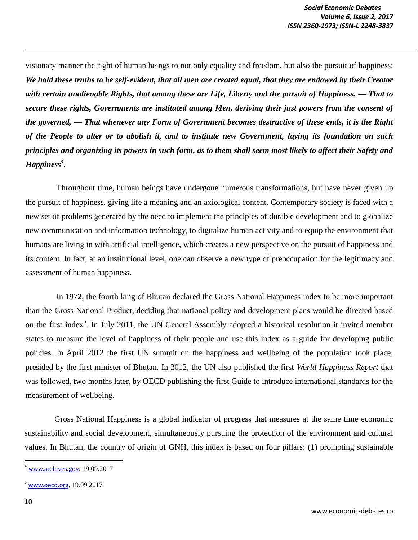visionary manner the right of human beings to not only equality and freedom, but also the pursuit of happiness: *We hold these truths to be self-evident, that all men are created equal, that they are endowed by their Creator with certain unalienable Rights, that among these are Life, Liberty and the pursuit of Happiness. — That to secure these rights, Governments are instituted among Men, deriving their just powers from the consent of the governed, — That whenever any Form of Government becomes destructive of these ends, it is the Right of the People to alter or to abolish it, and to institute new Government, laying its foundation on such principles and organizing its powers in such form, as to them shall seem most likely to affect their Safety and Happiness<sup>4</sup> .* 

Throughout time, human beings have undergone numerous transformations, but have never given up the pursuit of happiness, giving life a meaning and an axiological content. Contemporary society is faced with a new set of problems generated by the need to implement the principles of durable development and to globalize new communication and information technology, to digitalize human activity and to equip the environment that humans are living in with artificial intelligence, which creates a new perspective on the pursuit of happiness and its content. In fact, at an institutional level, one can observe a new type of preoccupation for the legitimacy and assessment of human happiness.

In 1972, the fourth king of Bhutan declared the Gross National Happiness index to be more important than the Gross National Product, deciding that national policy and development plans would be directed based on the first index<sup>5</sup>. In July 2011, the UN General Assembly adopted a historical resolution it invited member states to measure the level of happiness of their people and use this index as a guide for developing public policies. In April 2012 the first UN summit on the happiness and wellbeing of the population took place, presided by the first minister of Bhutan. In 2012, the UN also published the first *World Happiness Report* that was followed, two months later, by OECD publishing the first Guide to introduce international standards for the measurement of wellbeing.

Gross National Happiness is a global indicator of progress that measures at the same time economic sustainability and social development, simultaneously pursuing the protection of the environment and cultural values. In Bhutan, the country of origin of GNH, this index is based on four pillars: (1) promoting sustainable

 $\overline{\phantom{a}}$ 

 $4$  [www.archives.gov,](http://www.archives.gov/) 19.09.2017

<sup>5</sup> [www.oecd.org,](http://www.oecd.org/) 19.09.2017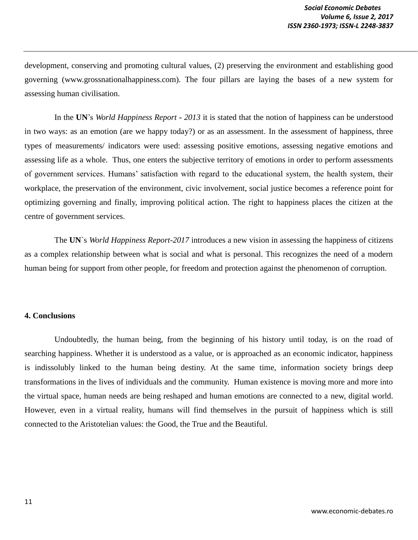development, conserving and promoting cultural values, (2) preserving the environment and establishing good governing (www.grossnationalhappiness.com). The four pillars are laying the bases of a new system for assessing human civilisation.

In the **UN**'s *World Happiness Report* **-** *2013* it is stated that the notion of happiness can be understood in two ways: as an emotion (are we happy today?) or as an assessment. In the assessment of happiness, three types of measurements/ indicators were used: assessing positive emotions, assessing negative emotions and assessing life as a whole. Thus, one enters the subjective territory of emotions in order to perform assessments of government services. Humans' satisfaction with regard to the educational system, the health system, their workplace, the preservation of the environment, civic involvement, social justice becomes a reference point for optimizing governing and finally, improving political action. The right to happiness places the citizen at the centre of government services.

The **UN**`s *World Happiness Report-2017* introduces a new vision in assessing the happiness of citizens as a complex relationship between what is social and what is personal. This recognizes the need of a modern human being for support from other people, for freedom and protection against the phenomenon of corruption.

## **4. Conclusions**

Undoubtedly, the human being, from the beginning of his history until today, is on the road of searching happiness. Whether it is understood as a value, or is approached as an economic indicator, happiness is indissolubly linked to the human being destiny. At the same time, information society brings deep transformations in the lives of individuals and the community. Human existence is moving more and more into the virtual space, human needs are being reshaped and human emotions are connected to a new, digital world. However, even in a virtual reality, humans will find themselves in the pursuit of happiness which is still connected to the Aristotelian values: the Good, the True and the Beautiful.